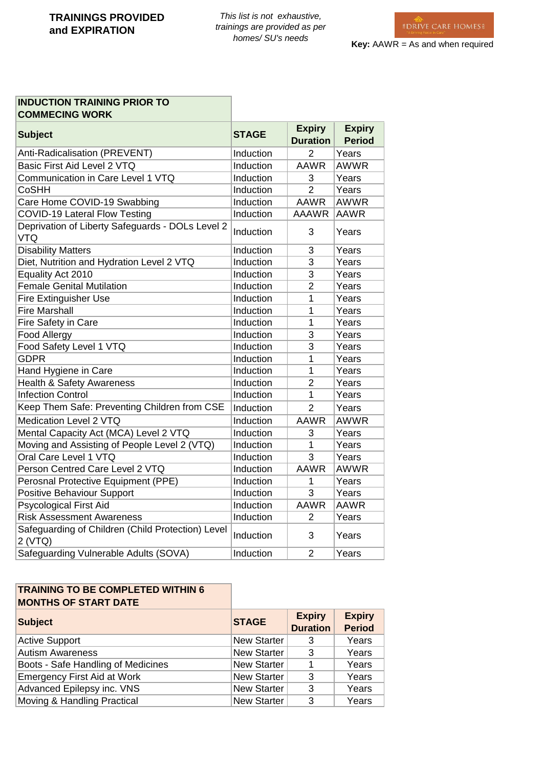## **INDUCTION TRAINING PRIOR TO COMMECING WORK**

| <b>Subject</b>                                                 | <b>STAGE</b> | <b>Expiry</b><br><b>Duration</b> | <b>Expiry</b><br><b>Period</b> |
|----------------------------------------------------------------|--------------|----------------------------------|--------------------------------|
| Anti-Radicalisation (PREVENT)                                  | Induction    | $\overline{2}$                   | Years                          |
| Basic First Aid Level 2 VTQ                                    | Induction    | <b>AAWR</b>                      | <b>AWWR</b>                    |
| Communication in Care Level 1 VTQ                              | Induction    | 3                                | Years                          |
| <b>CoSHH</b>                                                   | Induction    | $\overline{2}$                   | Years                          |
| Care Home COVID-19 Swabbing                                    | Induction    | <b>AAWR</b>                      | <b>AWWR</b>                    |
| COVID-19 Lateral Flow Testing                                  | Induction    | <b>AAAWR</b>                     | <b>AAWR</b>                    |
| Deprivation of Liberty Safeguards - DOLs Level 2<br><b>VTQ</b> | Induction    | 3                                | Years                          |
| <b>Disability Matters</b>                                      | Induction    | 3                                | Years                          |
| Diet, Nutrition and Hydration Level 2 VTQ                      | Induction    | 3                                | Years                          |
| Equality Act 2010                                              | Induction    | 3                                | Years                          |
| <b>Female Genital Mutilation</b>                               | Induction    | $\overline{2}$                   | Years                          |
| <b>Fire Extinguisher Use</b>                                   | Induction    | 1                                | Years                          |
| <b>Fire Marshall</b>                                           | Induction    | 1                                | Years                          |
| Fire Safety in Care                                            | Induction    | $\overline{1}$                   | Years                          |
| Food Allergy                                                   | Induction    | 3                                | Years                          |
| Food Safety Level 1 VTQ                                        | Induction    | 3                                | Years                          |
| <b>GDPR</b>                                                    | Induction    | 1                                | Years                          |
| Hand Hygiene in Care                                           | Induction    | 1                                | Years                          |
| Health & Safety Awareness                                      | Induction    | $\overline{2}$                   | Years                          |
| <b>Infection Control</b>                                       | Induction    | 1                                | Years                          |
| Keep Them Safe: Preventing Children from CSE                   | Induction    | $\overline{2}$                   | Years                          |
| Medication Level 2 VTQ                                         | Induction    | <b>AAWR</b>                      | <b>AWWR</b>                    |
| Mental Capacity Act (MCA) Level 2 VTQ                          | Induction    | 3                                | Years                          |
| Moving and Assisting of People Level 2 (VTQ)                   | Induction    | 1                                | Years                          |
| Oral Care Level 1 VTQ                                          | Induction    | 3                                | Years                          |
| Person Centred Care Level 2 VTQ                                | Induction    | <b>AAWR</b>                      | <b>AWWR</b>                    |
| Perosnal Protective Equipment (PPE)                            | Induction    | 1                                | Years                          |
| Positive Behaviour Support                                     | Induction    | 3                                | Years                          |
| <b>Psycological First Aid</b>                                  | Induction    | <b>AAWR</b>                      | <b>AAWR</b>                    |
| <b>Risk Assessment Awareness</b>                               | Induction    | $\overline{2}$                   | Years                          |
| Safeguarding of Children (Child Protection) Level<br>2 (VTQ)   | Induction    | 3                                | Years                          |
| Safeguarding Vulnerable Adults (SOVA)                          | Induction    | 2                                | Years                          |

## **TRAINING TO BE COMPLETED WITHIN 6 MONTHS OF START DATE**

| <b>Subject</b>                     | <b>STAGE</b>       | <b>Expiry</b><br><b>Duration</b> | <b>Expiry</b><br><b>Period</b> |
|------------------------------------|--------------------|----------------------------------|--------------------------------|
| <b>Active Support</b>              | <b>New Starter</b> | 3                                | Years                          |
| <b>Autism Awareness</b>            | <b>New Starter</b> | 3                                | Years                          |
| Boots - Safe Handling of Medicines | <b>New Starter</b> |                                  | Years                          |
| <b>Emergency First Aid at Work</b> | <b>New Starter</b> | 3                                | Years                          |
| Advanced Epilepsy inc. VNS         | <b>New Starter</b> | 3                                | Years                          |
| Moving & Handling Practical        | <b>New Starter</b> | 3                                | Years                          |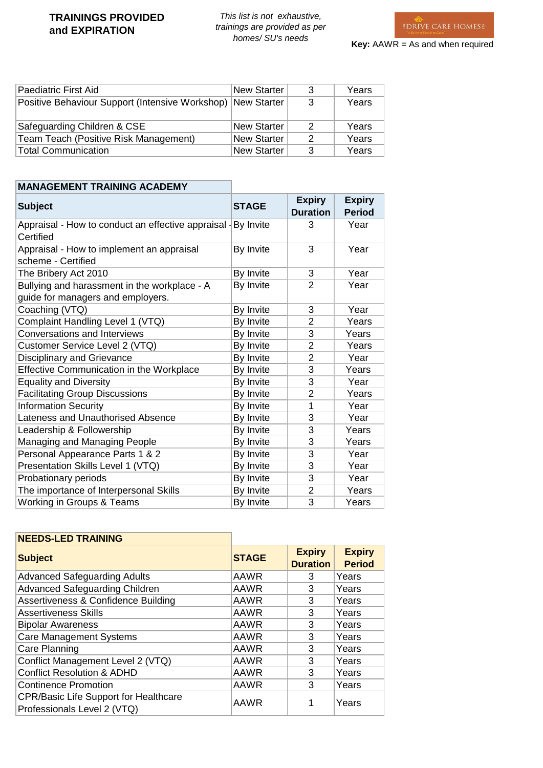## **TRAININGS PROVIDED and EXPIRATION**

*This list is not exhaustive, trainings are provided as per homes/ SU's needs*



| Paediatric First Aid                                        | New Starter        | 3             | Years |
|-------------------------------------------------------------|--------------------|---------------|-------|
| Positive Behaviour Support (Intensive Workshop) New Starter |                    | 3             | Years |
| Safeguarding Children & CSE                                 | <b>New Starter</b> | $\mathcal{P}$ | Years |
| Team Teach (Positive Risk Management)                       | New Starter        | $\mathcal{P}$ | Years |
| <b>Total Communication</b>                                  | <b>New Starter</b> | 3             | Years |

| <b>MANAGEMENT TRAINING ACADEMY</b>                                                |              |                                  |                                |
|-----------------------------------------------------------------------------------|--------------|----------------------------------|--------------------------------|
| <b>Subject</b>                                                                    | <b>STAGE</b> | <b>Expiry</b><br><b>Duration</b> | <b>Expiry</b><br><b>Period</b> |
| Appraisal - How to conduct an effective appraisal   By Invite<br>Certified        |              | 3                                | Year                           |
| Appraisal - How to implement an appraisal<br>scheme - Certified                   | By Invite    | 3                                | Year                           |
| The Bribery Act 2010                                                              | By Invite    | 3                                | Year                           |
| Bullying and harassment in the workplace - A<br>guide for managers and employers. | By Invite    | $\overline{2}$                   | Year                           |
| Coaching (VTQ)                                                                    | By Invite    | 3                                | Year                           |
| Complaint Handling Level 1 (VTQ)                                                  | By Invite    | 2                                | Years                          |
| <b>Conversations and Interviews</b>                                               | By Invite    | 3                                | Years                          |
| Customer Service Level 2 (VTQ)                                                    | By Invite    | $\overline{2}$                   | Years                          |
| Disciplinary and Grievance                                                        | By Invite    | $\overline{2}$                   | Year                           |
| Effective Communication in the Workplace                                          | By Invite    | 3                                | Years                          |
| <b>Equality and Diversity</b>                                                     | By Invite    | 3                                | Year                           |
| <b>Facilitating Group Discussions</b>                                             | By Invite    | 2                                | Years                          |
| <b>Information Security</b>                                                       | By Invite    | 1                                | Year                           |
| Lateness and Unauthorised Absence                                                 | By Invite    | 3                                | Year                           |
| Leadership & Followership                                                         | By Invite    | 3                                | Years                          |
| Managing and Managing People                                                      | By Invite    | 3                                | Years                          |
| Personal Appearance Parts 1 & 2                                                   | By Invite    | 3                                | Year                           |
| Presentation Skills Level 1 (VTQ)                                                 | By Invite    | 3                                | Year                           |
| Probationary periods                                                              | By Invite    | 3                                | Year                           |
| The importance of Interpersonal Skills                                            | By Invite    | $\overline{2}$                   | Years                          |
| Working in Groups & Teams                                                         | By Invite    | 3                                | Years                          |

| <b>NEEDS-LED TRAINING</b>                                                   |              |                                  |                                |
|-----------------------------------------------------------------------------|--------------|----------------------------------|--------------------------------|
| <b>Subject</b>                                                              | <b>STAGE</b> | <b>Expiry</b><br><b>Duration</b> | <b>Expiry</b><br><b>Period</b> |
| <b>Advanced Safeguarding Adults</b>                                         | <b>AAWR</b>  | 3                                | Years                          |
| <b>Advanced Safeguarding Children</b>                                       | AAWR         | 3                                | Years                          |
| Assertiveness & Confidence Building                                         | AAWR         | 3                                | Years                          |
| <b>Assertiveness Skills</b>                                                 | AAWR         | 3                                | Years                          |
| <b>Bipolar Awareness</b>                                                    | <b>AAWR</b>  | 3                                | Years                          |
| <b>Care Management Systems</b>                                              | AAWR         | 3                                | Years                          |
| Care Planning                                                               | AAWR         | 3                                | Years                          |
| Conflict Management Level 2 (VTQ)                                           | <b>AAWR</b>  | 3                                | Years                          |
| <b>Conflict Resolution &amp; ADHD</b>                                       | AAWR         | 3                                | Years                          |
| <b>Continence Promotion</b>                                                 | AAWR         | 3                                | Years                          |
| <b>CPR/Basic Life Support for Healthcare</b><br>Professionals Level 2 (VTQ) | <b>AAWR</b>  |                                  | Years                          |